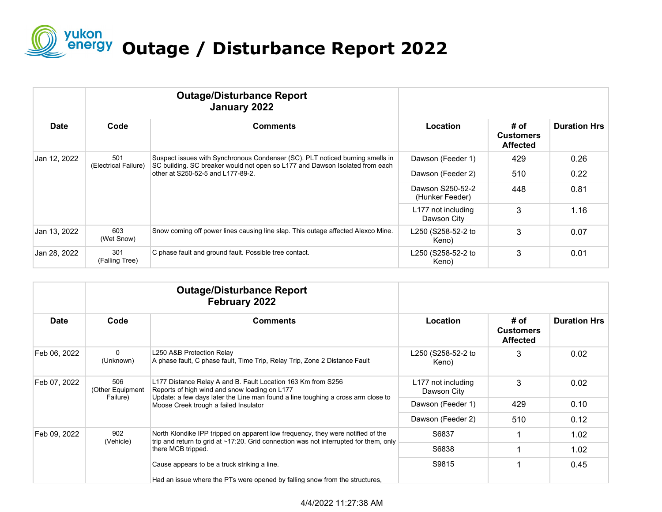

| <b>Date</b>  |                             | <b>Outage/Disturbance Report</b><br>January 2022                                                                                                                                                   |                                     |                                             |                     |
|--------------|-----------------------------|----------------------------------------------------------------------------------------------------------------------------------------------------------------------------------------------------|-------------------------------------|---------------------------------------------|---------------------|
|              | Code                        | <b>Comments</b>                                                                                                                                                                                    | Location                            | # of<br><b>Customers</b><br><b>Affected</b> | <b>Duration Hrs</b> |
| Jan 12, 2022 | 501<br>(Electrical Failure) | Suspect issues with Synchronous Condenser (SC). PLT noticed burning smells in<br>SC building. SC breaker would not open so L177 and Dawson Isolated from each<br>other at S250-52-5 and L177-89-2. | Dawson (Feeder 1)                   | 429                                         | 0.26                |
|              |                             |                                                                                                                                                                                                    | Dawson (Feeder 2)                   | 510                                         | 0.22                |
|              |                             |                                                                                                                                                                                                    | Dawson S250-52-2<br>(Hunker Feeder) | 448                                         | 0.81                |
|              |                             |                                                                                                                                                                                                    | L177 not including<br>Dawson City   | 3                                           | 1.16                |
| Jan 13, 2022 | 603<br>(Wet Snow)           | Snow coming off power lines causing line slap. This outage affected Alexco Mine.                                                                                                                   | L250 (S258-52-2 to<br>Keno)         | 3                                           | 0.07                |
| Jan 28, 2022 | 301<br>(Falling Tree)       | C phase fault and ground fault. Possible tree contact.                                                                                                                                             | L250 (S258-52-2 to<br>Keno)         | 3                                           | 0.01                |

|              |                                     | <b>Outage/Disturbance Report</b><br>February 2022                                                                                                                                                                                                    | Location                          | # of<br><b>Customers</b><br><b>Affected</b> | <b>Duration Hrs</b> |
|--------------|-------------------------------------|------------------------------------------------------------------------------------------------------------------------------------------------------------------------------------------------------------------------------------------------------|-----------------------------------|---------------------------------------------|---------------------|
| <b>Date</b>  | Code                                | <b>Comments</b>                                                                                                                                                                                                                                      |                                   |                                             |                     |
| Feb 06, 2022 | $\mathbf{0}$<br>(Unknown)           | L250 A&B Protection Relay<br>A phase fault, C phase fault, Time Trip, Relay Trip, Zone 2 Distance Fault                                                                                                                                              | L250 (S258-52-2 to<br>Keno)       | 3                                           | 0.02                |
| Feb 07, 2022 | 506<br>(Other Equipment<br>Failure) | L177 Distance Relay A and B. Fault Location 163 Km from S256<br>Reports of high wind and snow loading on L177<br>Update: a few days later the Line man found a line toughing a cross arm close to<br>Moose Creek trough a failed Insulator           | L177 not including<br>Dawson City | 3                                           | 0.02                |
|              |                                     |                                                                                                                                                                                                                                                      | Dawson (Feeder 1)                 | 429                                         | 0.10                |
|              |                                     |                                                                                                                                                                                                                                                      | Dawson (Feeder 2)                 | 510                                         | 0.12                |
| Feb 09, 2022 | 902<br>(Vehicle)                    | North Klondike IPP tripped on apparent low frequency, they were notified of the<br>trip and return to grid at $\sim$ 17:20. Grid connection was not interrupted for them, only<br>there MCB tripped.<br>Cause appears to be a truck striking a line. | S6837                             |                                             | 1.02                |
|              |                                     |                                                                                                                                                                                                                                                      | S6838                             |                                             | 1.02                |
|              |                                     |                                                                                                                                                                                                                                                      | S9815                             |                                             | 0.45                |
|              |                                     | Had an issue where the PTs were opened by falling snow from the structures,                                                                                                                                                                          |                                   |                                             |                     |

## 4/4/2022 11:27:38 AM